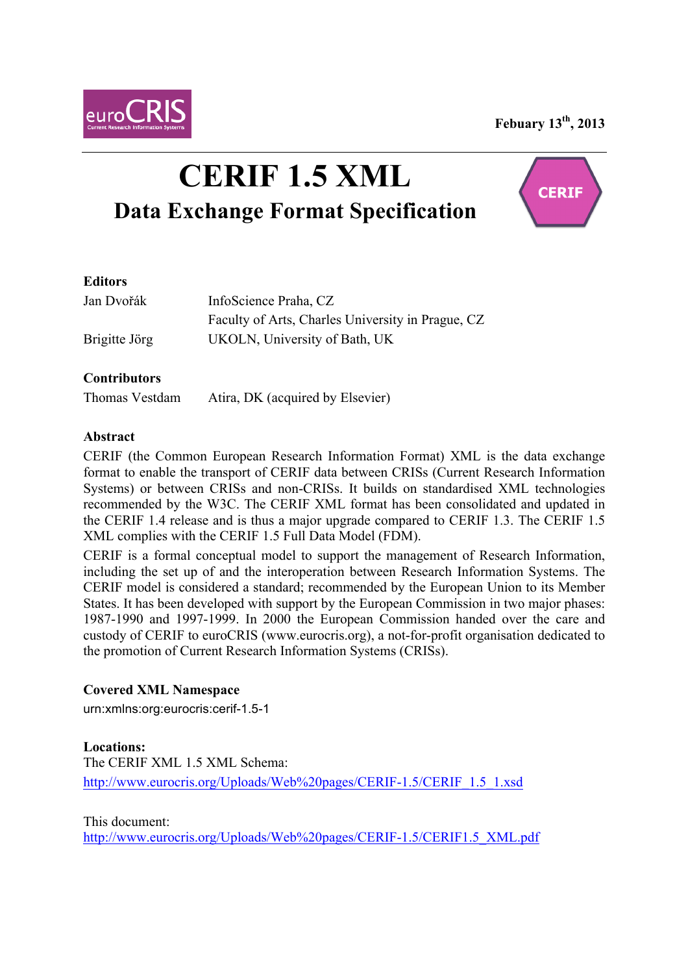**Febuary 13th, 2013**



# **CERIF 1.5 XML Data Exchange Format Specification**



## **Editors**

| Jan Dvořák    | InfoScience Praha, CZ                             |
|---------------|---------------------------------------------------|
|               | Faculty of Arts, Charles University in Prague, CZ |
| Brigitte Jörg | UKOLN, University of Bath, UK                     |

## **Contributors**

Thomas Vestdam Atira, DK (acquired by Elsevier)

#### **Abstract**

CERIF (the Common European Research Information Format) XML is the data exchange format to enable the transport of CERIF data between CRISs (Current Research Information Systems) or between CRISs and non-CRISs. It builds on standardised XML technologies recommended by the W3C. The CERIF XML format has been consolidated and updated in the CERIF 1.4 release and is thus a major upgrade compared to CERIF 1.3. The CERIF 1.5 XML complies with the CERIF 1.5 Full Data Model (FDM).

CERIF is a formal conceptual model to support the management of Research Information, including the set up of and the interoperation between Research Information Systems. The CERIF model is considered a standard; recommended by the European Union to its Member States. It has been developed with support by the European Commission in two major phases: 1987-1990 and 1997-1999. In 2000 the European Commission handed over the care and custody of CERIF to euroCRIS (www.eurocris.org), a not-for-profit organisation dedicated to the promotion of Current Research Information Systems (CRISs).

#### **Covered XML Namespace**

urn:xmlns:org:eurocris:cerif-1.5-1

#### **Locations:**

The CERIF XML 1.5 XML Schema: http://www.eurocris.org/Uploads/Web%20pages/CERIF-1.5/CERIF\_1.5\_1.xsd

This document:

http://www.eurocris.org/Uploads/Web%20pages/CERIF-1.5/CERIF1.5\_XML.pdf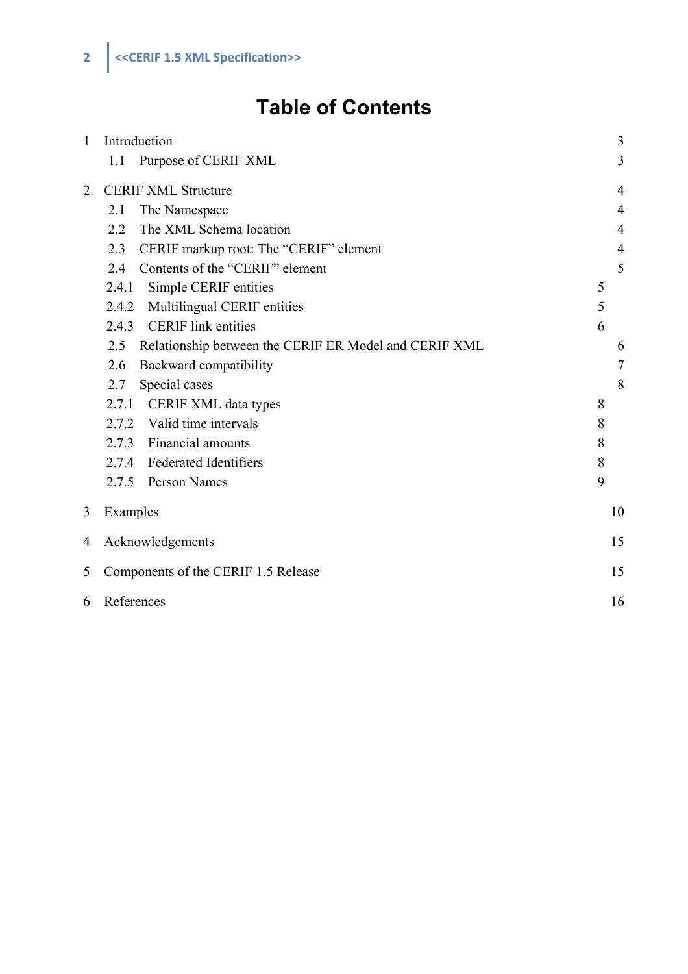## **Table of Contents**

| $\mathbf{1}$   | Introduction                                                 | 3              |  |
|----------------|--------------------------------------------------------------|----------------|--|
|                | 1.1<br>Purpose of CERIF XML                                  | 3              |  |
| $\overline{2}$ | <b>CERIF XML Structure</b>                                   | $\overline{4}$ |  |
|                | The Namespace<br>2.1                                         | $\overline{4}$ |  |
|                | The XML Schema location<br>2.2                               | $\overline{4}$ |  |
|                | CERIF markup root: The "CERIF" element<br>2.3                | $\overline{4}$ |  |
|                | Contents of the "CERIF" element<br>2.4                       | 5              |  |
|                | Simple CERIF entities<br>2.4.1                               | 5              |  |
|                | Multilingual CERIF entities<br>2.4.2                         | 5              |  |
|                | <b>CERIF</b> link entities<br>2.4.3                          | 6              |  |
|                | Relationship between the CERIF ER Model and CERIF XML<br>2.5 | 6              |  |
|                | Backward compatibility<br>2.6                                | 7              |  |
|                | Special cases<br>2.7                                         | 8              |  |
|                | 2.7.1 CERIF XML data types                                   | 8              |  |
|                | 2.7.2 Valid time intervals                                   | 8              |  |
|                | 2.7.3 Financial amounts                                      | 8              |  |
|                | 2.7.4 Federated Identifiers                                  | 8              |  |
|                | 2.7.5 Person Names                                           | 9              |  |
| 3              | Examples                                                     | 10             |  |
| 4              | Acknowledgements                                             |                |  |
| 5              | Components of the CERIF 1.5 Release                          |                |  |
| 6              | References                                                   |                |  |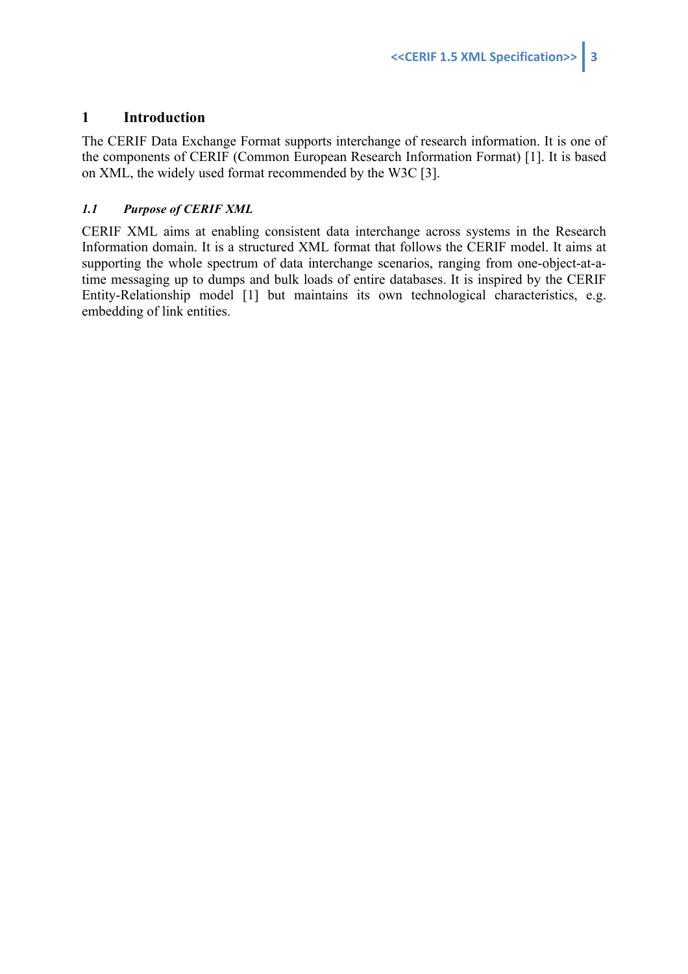## **1 Introduction**

The CERIF Data Exchange Format supports interchange of research information. It is one of the components of CERIF (Common European Research Information Format) [1]. It is based on XML, the widely used format recommended by the W3C [3].

#### *1.1 Purpose of CERIF XML*

CERIF XML aims at enabling consistent data interchange across systems in the Research Information domain. It is a structured XML format that follows the CERIF model. It aims at supporting the whole spectrum of data interchange scenarios, ranging from one-object-at-atime messaging up to dumps and bulk loads of entire databases. It is inspired by the CERIF Entity-Relationship model [1] but maintains its own technological characteristics, e.g. embedding of link entities.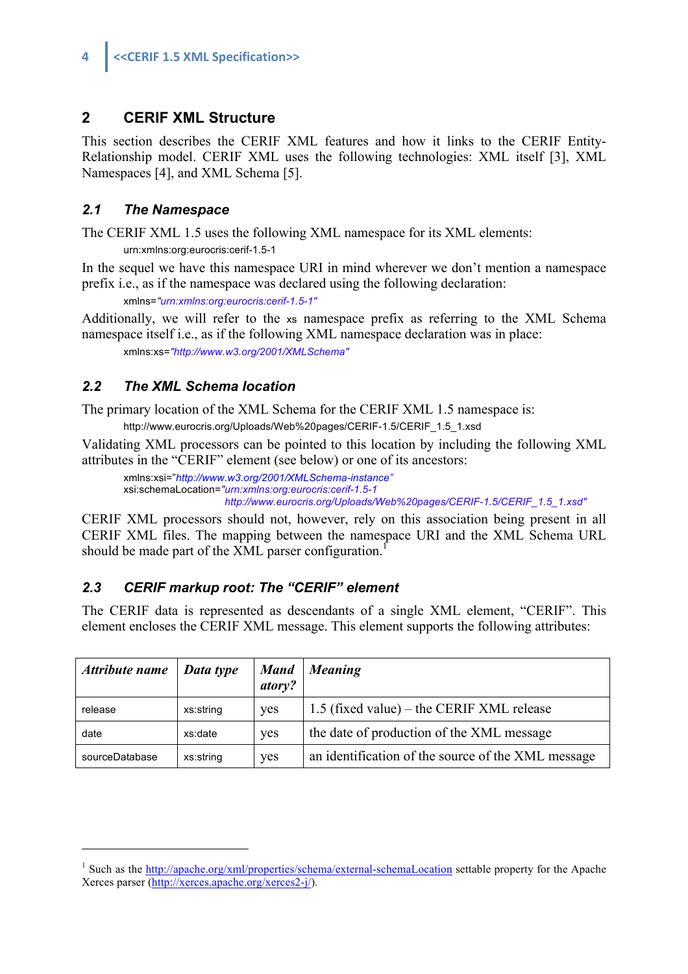## **2 CERIF XML Structure**

This section describes the CERIF XML features and how it links to the CERIF Entity-Relationship model. CERIF XML uses the following technologies: XML itself [3], XML Namespaces [4], and XML Schema [5].

## *2.1 The Namespace*

The CERIF XML 1.5 uses the following XML namespace for its XML elements:

urn:xmlns:org:eurocris:cerif-1.5-1

In the sequel we have this namespace URI in mind wherever we don't mention a namespace prefix i.e., as if the namespace was declared using the following declaration:

xmlns=*"urn:xmlns:org:eurocris:cerif-1.5-1"*

Additionally, we will refer to the xs namespace prefix as referring to the XML Schema namespace itself i.e., as if the following XML namespace declaration was in place:

xmlns:xs=*"http://www.w3.org/2001/XMLSchema"*

## *2.2 The XML Schema location*

 $\overline{a}$ 

The primary location of the XML Schema for the CERIF XML 1.5 namespace is: http://www.eurocris.org/Uploads/Web%20pages/CERIF-1.5/CERIF\_1.5\_1.xsd

Validating XML processors can be pointed to this location by including the following XML attributes in the "CERIF" element (see below) or one of its ancestors:

xmlns:xsi="*http://www.w3.org/2001/XMLSchema-instance"* xsi:schemaLocation=*"urn:xmlns:org:eurocris:cerif-1.5-1 http://www.eurocris.org/Uploads/Web%20pages/CERIF-1.5/CERIF\_1.5\_1.xsd"*

CERIF XML processors should not, however, rely on this association being present in all CERIF XML files. The mapping between the namespace URI and the XML Schema URL should be made part of the XML parser configuration.<sup>1</sup>

## *2.3 CERIF markup root: The "CERIF" element*

The CERIF data is represented as descendants of a single XML element, "CERIF". This element encloses the CERIF XML message. This element supports the following attributes:

| Attribute name | Data type | <b>Mand</b><br>atory? | <b>Meaning</b>                                     |
|----------------|-----------|-----------------------|----------------------------------------------------|
| release        | xs:string | yes                   | 1.5 (fixed value) – the CERIF XML release          |
| date           | xs:date   | yes                   | the date of production of the XML message          |
| sourceDatabase | xs:string | <b>ves</b>            | an identification of the source of the XML message |

<sup>&</sup>lt;sup>1</sup> Such as the http://apache.org/xml/properties/schema/external-schemaLocation settable property for the Apache Xerces parser (http://xerces.apache.org/xerces2-j/).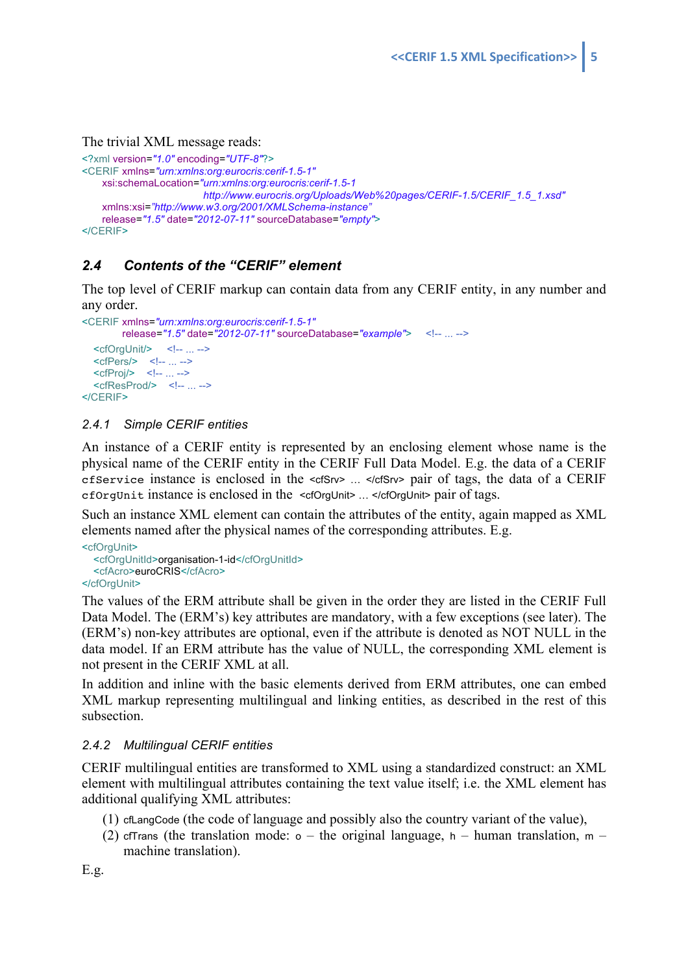#### The trivial XML message reads:

```
<?xml version="1.0" encoding="UTF-8"?>
<CERIF xmlns="urn:xmlns:org:eurocris:cerif-1.5-1"
    xsi:schemaLocation="urn:xmlns:org:eurocris:cerif-1.5-1 
                        http://www.eurocris.org/Uploads/Web%20pages/CERIF-1.5/CERIF_1.5_1.xsd"
     xmlns:xsi="http://www.w3.org/2001/XMLSchema-instance"
    release="1.5" date="2012-07-11" sourceDatabase="empty">
</CERIF>
```
## *2.4 Contents of the "CERIF" element*

The top level of CERIF markup can contain data from any CERIF entity, in any number and any order.

```
<CERIF xmlns="urn:xmlns:org:eurocris:cerif-1.5-1"
         release="1.5" date="2012-07-11" sourceDatabase="example"> <!-- ... -->
  <cfOrgUnit/> <!-- ... -->
  <cfPers/><!-- ... -->
  <cfProj/> <!-- ... -->
  <cfResProd/> <!-- ... -->
</CERIF>
```
#### *2.4.1 Simple CERIF entities*

An instance of a CERIF entity is represented by an enclosing element whose name is the physical name of the CERIF entity in the CERIF Full Data Model. E.g. the data of a CERIF cfService instance is enclosed in the <cfSrv> … </cfSrv> pair of tags, the data of a CERIF cfOrgUnit instance is enclosed in the <cfOrgUnit> … </cfOrgUnit> pair of tags.

Such an instance XML element can contain the attributes of the entity, again mapped as XML elements named after the physical names of the corresponding attributes. E.g.

```
<cfOrgUnit> <cfOrgUnitId>organisation-1-id</cfOrgUnitId>
   <cfAcro>euroCRIS</cfAcro>
</cfOrgUnit>
```
The values of the ERM attribute shall be given in the order they are listed in the CERIF Full Data Model. The (ERM's) key attributes are mandatory, with a few exceptions (see later). The (ERM's) non-key attributes are optional, even if the attribute is denoted as NOT NULL in the data model. If an ERM attribute has the value of NULL, the corresponding XML element is not present in the CERIF XML at all.

In addition and inline with the basic elements derived from ERM attributes, one can embed XML markup representing multilingual and linking entities, as described in the rest of this subsection.

#### *2.4.2 Multilingual CERIF entities*

CERIF multilingual entities are transformed to XML using a standardized construct: an XML element with multilingual attributes containing the text value itself; i.e. the XML element has additional qualifying XML attributes:

- (1) cfLangCode (the code of language and possibly also the country variant of the value),
- (2) cfTrans (the translation mode:  $o$  the original language,  $h$  human translation,  $m$  machine translation).

E.g.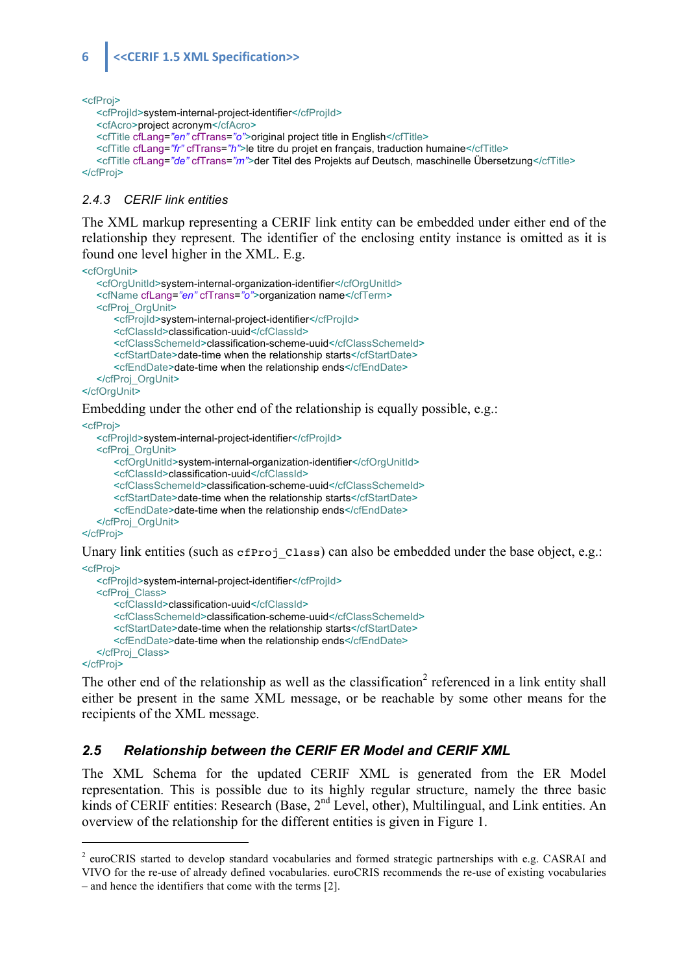## **6 c**<**CERIF** 1.5 XML Specification>>

<cfProj>

```
 <cfProjId>system-internal-project-identifier</cfProjId>
    <cfAcro>project acronym</cfAcro>
    <cfTitle cfLang="en" cfTrans="o">original project title in English</cfTitle>
    <cfTitle cfLang="fr" cfTrans="h">le titre du projet en français, traduction humaine</cfTitle>
    <cfTitle cfLang="de" cfTrans="m">der Titel des Projekts auf Deutsch, maschinelle Übersetzung</cfTitle>
</cfProj>
```
#### *2.4.3 CERIF link entities*

The XML markup representing a CERIF link entity can be embedded under either end of the relationship they represent. The identifier of the enclosing entity instance is omitted as it is found one level higher in the XML. E.g.

```
<cfOrgUnit>
```

```
 <cfOrgUnitId>system-internal-organization-identifier</cfOrgUnitId>
    <cfName cfLang="en" cfTrans="o">organization name</cfTerm>
    <cfProj_OrgUnit>
        <cfProjId>system-internal-project-identifier</cfProjId>
       <cfClassId>classification-uuid</cfClassId>
       <cfClassSchemeId>classification-scheme-uuid</cfClassSchemeId>
       <cfStartDate>date-time when the relationship starts</cfStartDate>
       <cfEndDate>date-time when the relationship ends</cfEndDate>
    </cfProj_OrgUnit>
</cfOrgUnit>
```
Embedding under the other end of the relationship is equally possible, e.g.:

```
<cfProj>
    <cfProjId>system-internal-project-identifier</cfProjId>
    <cfProj_OrgUnit>
       <cfOrgUnitId>system-internal-organization-identifier</cfOrgUnitId>
       <cfClassId>classification-uuid</cfClassId>
       <cfClassSchemeId>classification-scheme-uuid</cfClassSchemeId>
       <cfStartDate>date-time when the relationship starts</cfStartDate>
        <cfEndDate>date-time when the relationship ends</cfEndDate>
    </cfProj_OrgUnit>
```
</cfProj>

Unary link entities (such as  $cfProj$  class) can also be embedded under the base object, e.g.:

```
<cfProj>
    <cfProjId>system-internal-project-identifier</cfProjId>
    <cfProj_Class>
       <cfClassId>classification-uuid</cfClassId>
       <cfClassSchemeId>classification-scheme-uuid</cfClassSchemeId>
       <cfStartDate>date-time when the relationship starts</cfStartDate>
        <cfEndDate>date-time when the relationship ends</cfEndDate>
    </cfProj_Class>
</cfProj>
```
The other end of the relationship as well as the classification<sup>2</sup> referenced in a link entity shall either be present in the same XML message, or be reachable by some other means for the recipients of the XML message.

#### *2.5 Relationship between the CERIF ER Model and CERIF XML*

The XML Schema for the updated CERIF XML is generated from the ER Model representation. This is possible due to its highly regular structure, namely the three basic kinds of CERIF entities: Research (Base, 2<sup>nd</sup> Level, other), Multilingual, and Link entities. An overview of the relationship for the different entities is given in Figure 1.

<sup>&</sup>lt;sup>2</sup> euroCRIS started to develop standard vocabularies and formed strategic partnerships with e.g. CASRAI and VIVO for the re-use of already defined vocabularies. euroCRIS recommends the re-use of existing vocabularies

<sup>–</sup> and hence the identifiers that come with the terms [2].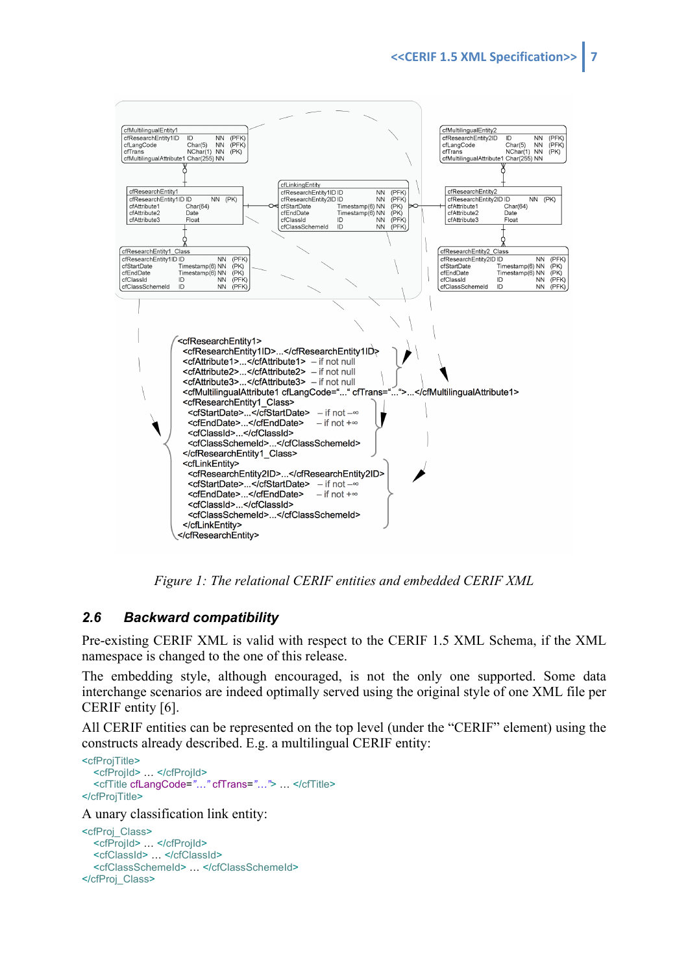

*Figure 1: The relational CERIF entities and embedded CERIF XML*

## *2.6 Backward compatibility*

Pre-existing CERIF XML is valid with respect to the CERIF 1.5 XML Schema, if the XML namespace is changed to the one of this release.

The embedding style, although encouraged, is not the only one supported. Some data interchange scenarios are indeed optimally served using the original style of one XML file per CERIF entity [6].

All CERIF entities can be represented on the top level (under the "CERIF" element) using the constructs already described. E.g. a multilingual CERIF entity:

```
<cfProjTitle>
   <cfProjId> … </cfProjId>
   <cfTitle cfLangCode="…" cfTrans="…"> … </cfTitle>
</cfProjTitle>
```
A unary classification link entity:

```
<cfProj_Class>
   <cfProjId> … </cfProjId>
   <cfClassId> … </cfClassId>
   <cfClassSchemeId> … </cfClassSchemeId>
</cfProj_Class>
```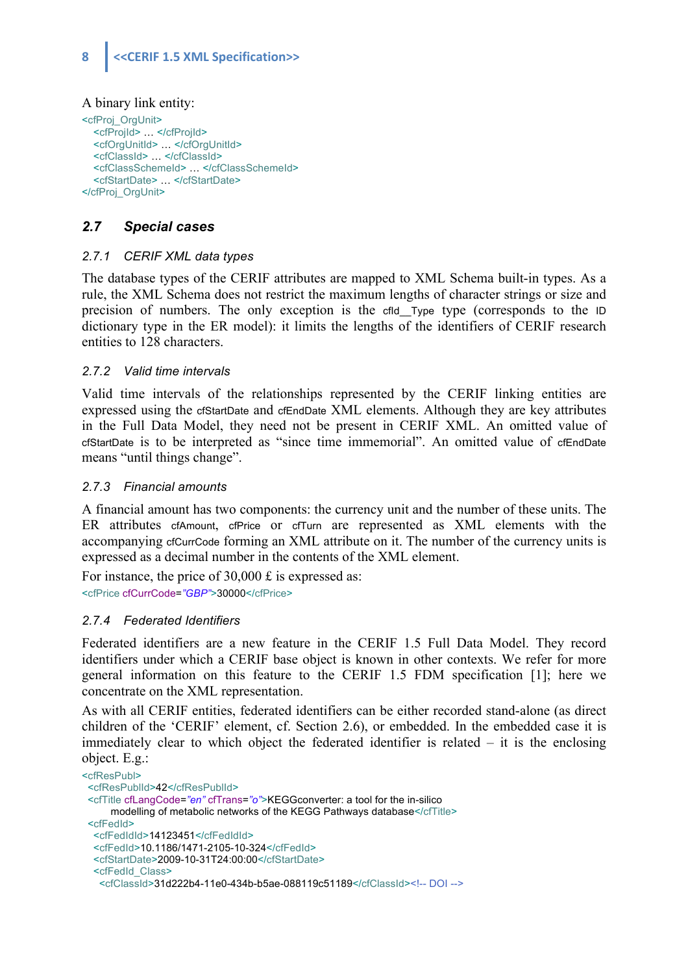#### A binary link entity:

```
<cfProj_OrgUnit>
   <cfProjId> … </cfProjId>
   <cfOrgUnitId> … </cfOrgUnitId>
   <cfClassId> … </cfClassId>
  <cfClassSchemeId> ... </cfClassSchemeId>
   <cfStartDate> … </cfStartDate>
</cfProj_OrgUnit>
```
## *2.7 Special cases*

#### *2.7.1 CERIF XML data types*

The database types of the CERIF attributes are mapped to XML Schema built-in types. As a rule, the XML Schema does not restrict the maximum lengths of character strings or size and precision of numbers. The only exception is the cfld\_Type type (corresponds to the ID dictionary type in the ER model): it limits the lengths of the identifiers of CERIF research entities to 128 characters.

#### *2.7.2 Valid time intervals*

Valid time intervals of the relationships represented by the CERIF linking entities are expressed using the cfStartDate and cfEndDate XML elements. Although they are key attributes in the Full Data Model, they need not be present in CERIF XML. An omitted value of cfStartDate is to be interpreted as "since time immemorial". An omitted value of cfEndDate means "until things change".

#### *2.7.3 Financial amounts*

A financial amount has two components: the currency unit and the number of these units. The ER attributes cfAmount, cfPrice or cfTurn are represented as XML elements with the accompanying cfCurrCode forming an XML attribute on it. The number of the currency units is expressed as a decimal number in the contents of the XML element.

For instance, the price of 30,000 £ is expressed as:

<cfPrice cfCurrCode=*"GBP"*>30000</cfPrice>

#### *2.7.4 Federated Identifiers*

Federated identifiers are a new feature in the CERIF 1.5 Full Data Model. They record identifiers under which a CERIF base object is known in other contexts. We refer for more general information on this feature to the CERIF 1.5 FDM specification [1]; here we concentrate on the XML representation.

As with all CERIF entities, federated identifiers can be either recorded stand-alone (as direct children of the 'CERIF' element, cf. Section 2.6), or embedded. In the embedded case it is immediately clear to which object the federated identifier is related – it is the enclosing object. E.g.:

```
<cfResPubl>
  <cfResPublId>42</cfResPublId>
  <cfTitle cfLangCode="en" cfTrans="o">KEGGconverter: a tool for the in-silico
     modelling of metabolic networks of the KEGG Pathways database</cfTitle>
  <cfFedId>
   <cfFedIdId>14123451</cfFedIdId>
   <cfFedId>10.1186/1471-2105-10-324</cfFedId>
   <cfStartDate>2009-10-31T24:00:00</cfStartDate>
   <cfFedId_Class>
    <cfClassId>31d222b4-11e0-434b-b5ae-088119c51189</cfClassId><!-- DOI -->
```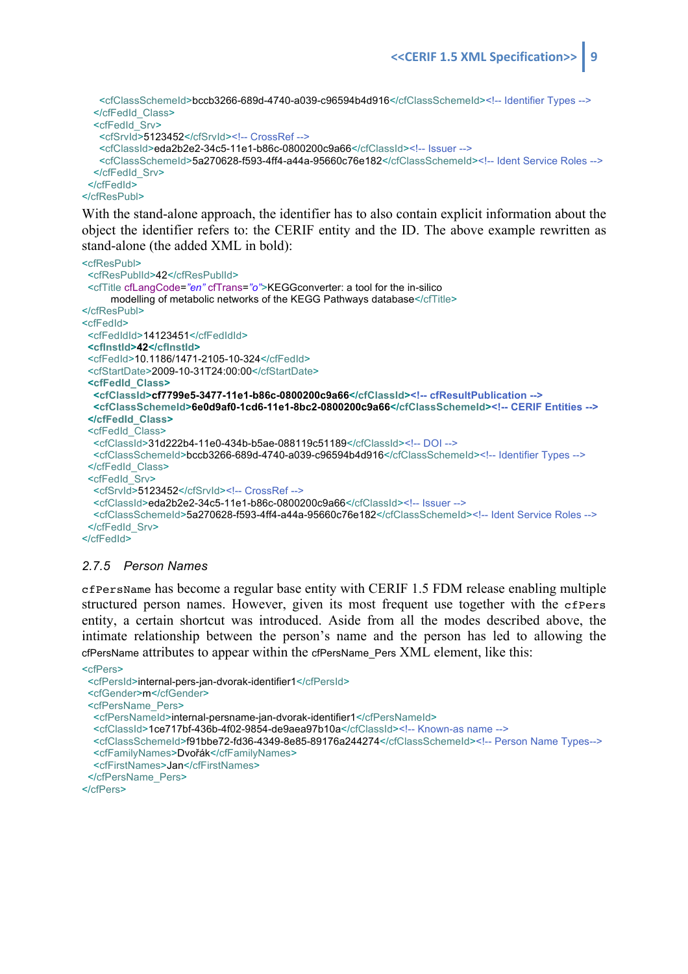<cfClassSchemeId>bccb3266-689d-4740-a039-c96594b4d916</cfClassSchemeId><!-- Identifier Types --> </cfFedId\_Class> <cfFedId\_Srv> <cfSrvId>5123452</cfSrvId><!-- CrossRef --> <cfClassId>eda2b2e2-34c5-11e1-b86c-0800200c9a66</cfClassId><!-- Issuer --> <cfClassSchemeId>5a270628-f593-4ff4-a44a-95660c76e182</cfClassSchemeId><!-- Ident Service Roles --> </cfFedId\_Srv> </cfFedId> </cfResPubl>

With the stand-alone approach, the identifier has to also contain explicit information about the object the identifier refers to: the CERIF entity and the ID. The above example rewritten as stand-alone (the added XML in bold):

```
<cfResPubl>
  <cfResPublId>42</cfResPublId>
  <cfTitle cfLangCode="en" cfTrans="o">KEGGconverter: a tool for the in-silico
      modelling of metabolic networks of the KEGG Pathways database</cfTitle>
</cfResPubl>
<cfFedId>
  <cfFedIdId>14123451</cfFedIdId>
 <cfInstId>42</cfInstId>
  <cfFedId>10.1186/1471-2105-10-324</cfFedId>
  <cfStartDate>2009-10-31T24:00:00</cfStartDate>
  <cfFedId_Class>
   <cfClassId>cf7799e5-3477-11e1-b86c-0800200c9a66</cfClassId><!-- cfResultPublication -->
   <cfClassSchemeId>6e0d9af0-1cd6-11e1-8bc2-0800200c9a66</cfClassSchemeId><!-- CERIF Entities -->
  </cfFedId_Class>
  <cfFedId_Class>
   <cfClassId>31d222b4-11e0-434b-b5ae-088119c51189</cfClassId><!-- DOI -->
   <cfClassSchemeId>bccb3266-689d-4740-a039-c96594b4d916</cfClassSchemeId><!-- Identifier Types -->
  </cfFedId_Class>
  <cfFedId_Srv>
   <cfSrvId>5123452</cfSrvId><!-- CrossRef -->
   <cfClassId>eda2b2e2-34c5-11e1-b86c-0800200c9a66</cfClassId><!-- Issuer -->
   <cfClassSchemeId>5a270628-f593-4ff4-a44a-95660c76e182</cfClassSchemeId><!-- Ident Service Roles -->
  </cfFedId_Srv>
</cfFedId>
```
#### *2.7.5 Person Names*

cfPersName has become a regular base entity with CERIF 1.5 FDM release enabling multiple structured person names. However, given its most frequent use together with the cfPers entity, a certain shortcut was introduced. Aside from all the modes described above, the intimate relationship between the person's name and the person has led to allowing the cfPersName attributes to appear within the cfPersName\_Pers XML element, like this:

```
<cfPers>
  <cfPersId>internal-pers-jan-dvorak-identifier1</cfPersId>
  <cfGender>m</cfGender>
  <cfPersName_Pers>
   <cfPersNameId>internal-persname-jan-dvorak-identifier1</cfPersNameId>
   <cfClassId>1ce717bf-436b-4f02-9854-de9aea97b10a</cfClassId><!-- Known-as name -->
   <cfClassSchemeId>f91bbe72-fd36-4349-8e85-89176a244274</cfClassSchemeId><!-- Person Name Types-->
   <cfFamilyNames>Dvořák</cfFamilyNames>
   <cfFirstNames>Jan</cfFirstNames>
  </cfPersName_Pers>
</cfPers>
```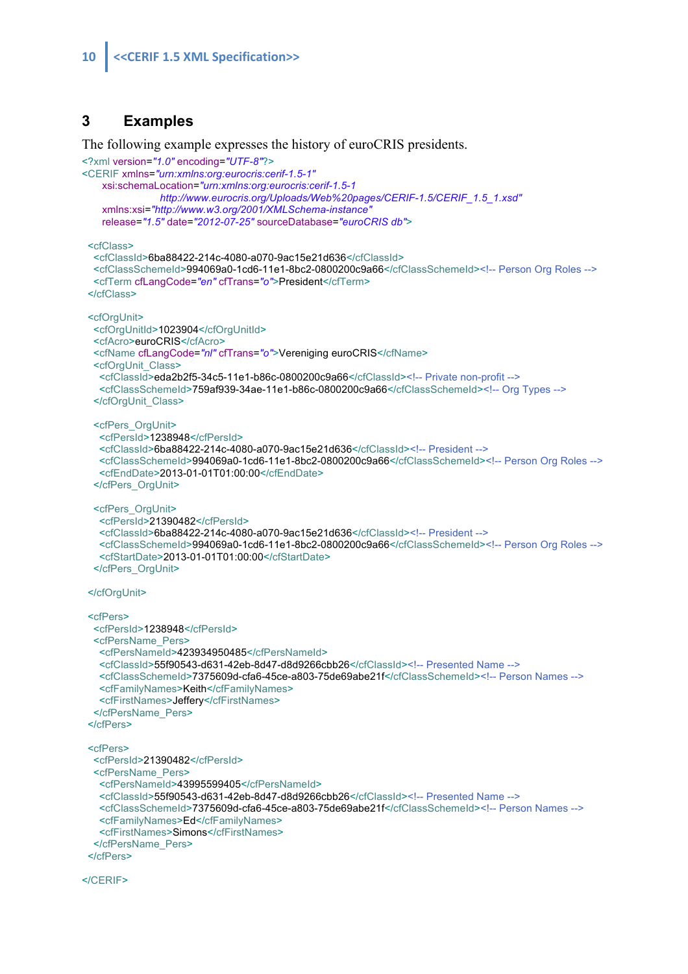#### **3 Examples**

The following example expresses the history of euroCRIS presidents.

```
<?xml version="1.0" encoding="UTF-8"?>
<CERIF xmlns="urn:xmlns:org:eurocris:cerif-1.5-1"
    xsi:schemaLocation="urn:xmlns:org:eurocris:cerif-1.5-1 
                http://www.eurocris.org/Uploads/Web%20pages/CERIF-1.5/CERIF_1.5_1.xsd"
    xmlns:xsi="http://www.w3.org/2001/XMLSchema-instance"
    release="1.5" date="2012-07-25" sourceDatabase="euroCRIS db">
  <cfClass>
   <cfClassId>6ba88422-214c-4080-a070-9ac15e21d636</cfClassId>
   <cfClassSchemeId>994069a0-1cd6-11e1-8bc2-0800200c9a66</cfClassSchemeId><!-- Person Org Roles -->
   <cfTerm cfLangCode="en" cfTrans="o">President</cfTerm>
  </cfClass>
  <cfOrgUnit>
   <cfOrgUnitId>1023904</cfOrgUnitId>
   <cfAcro>euroCRIS</cfAcro>
   <cfName cfLangCode="nl" cfTrans="o">Vereniging euroCRIS</cfName>
   <cfOrgUnit_Class>
    <cfClassId>eda2b2f5-34c5-11e1-b86c-0800200c9a66</cfClassId><!-- Private non-profit -->
    <cfClassSchemeId>759af939-34ae-11e1-b86c-0800200c9a66</cfClassSchemeId><!-- Org Types -->
   </cfOrgUnit_Class>
   <cfPers_OrgUnit>
    <cfPersId>1238948</cfPersId>
    <cfClassId>6ba88422-214c-4080-a070-9ac15e21d636</cfClassId><!-- President -->
    <cfClassSchemeId>994069a0-1cd6-11e1-8bc2-0800200c9a66</cfClassSchemeId><!-- Person Org Roles -->
    <cfEndDate>2013-01-01T01:00:00</cfEndDate>
   </cfPers_OrgUnit>
   <cfPers_OrgUnit>
    <cfPersId>21390482</cfPersId>
    <cfClassId>6ba88422-214c-4080-a070-9ac15e21d636</cfClassId><!-- President -->
    <cfClassSchemeId>994069a0-1cd6-11e1-8bc2-0800200c9a66</cfClassSchemeId><!-- Person Org Roles -->
    <cfStartDate>2013-01-01T01:00:00</cfStartDate>
   </cfPers_OrgUnit>
  </cfOrgUnit>
  <cfPers>
   <cfPersId>1238948</cfPersId>
   <cfPersName_Pers>
    <cfPersNameId>423934950485</cfPersNameId>
    <cfClassId>55f90543-d631-42eb-8d47-d8d9266cbb26</cfClassId><!-- Presented Name -->
    <cfClassSchemeId>7375609d-cfa6-45ce-a803-75de69abe21f</cfClassSchemeId><!-- Person Names -->
    <cfFamilyNames>Keith</cfFamilyNames>
    <cfFirstNames>Jeffery</cfFirstNames>
   </cfPersName_Pers>
  </cfPers>
  <cfPers>
   <cfPersId>21390482</cfPersId>
   <cfPersName_Pers>
    <cfPersNameId>43995599405</cfPersNameId>
    <cfClassId>55f90543-d631-42eb-8d47-d8d9266cbb26</cfClassId><!-- Presented Name -->
    <cfClassSchemeId>7375609d-cfa6-45ce-a803-75de69abe21f</cfClassSchemeId><!-- Person Names -->
    <cfFamilyNames>Ed</cfFamilyNames>
    <cfFirstNames>Simons</cfFirstNames>
   </cfPersName_Pers>
  </cfPers>
</CERIF>
```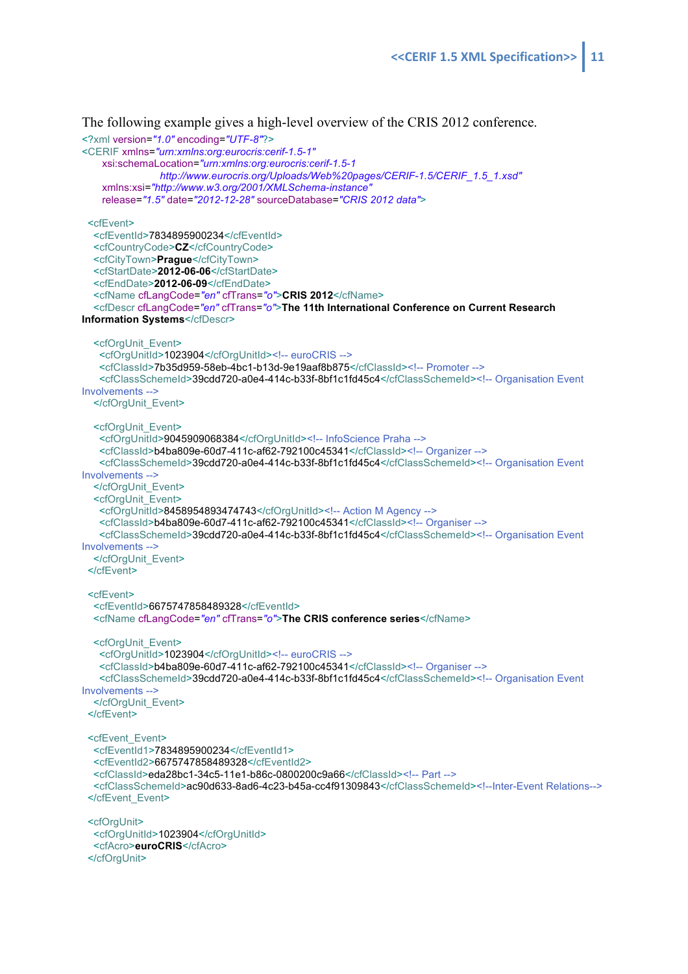The following example gives a high-level overview of the CRIS 2012 conference.

```
<?xml version="1.0" encoding="UTF-8"?>
<CERIF xmlns="urn:xmlns:org:eurocris:cerif-1.5-1"
     xsi:schemaLocation="urn:xmlns:org:eurocris:cerif-1.5-1
                http://www.eurocris.org/Uploads/Web%20pages/CERIF-1.5/CERIF_1.5_1.xsd"
     xmlns:xsi="http://www.w3.org/2001/XMLSchema-instance"
     release="1.5" date="2012-12-28" sourceDatabase="CRIS 2012 data">
  <cfEvent>
   <cfEventId>7834895900234</cfEventId>
   <cfCountryCode>CZ</cfCountryCode>
   <cfCityTown>Prague</cfCityTown>
   <cfStartDate>2012-06-06</cfStartDate>
   <cfEndDate>2012-06-09</cfEndDate>
   <cfName cfLangCode="en" cfTrans="o">CRIS 2012</cfName>
   <cfDescr cfLangCode="en" cfTrans="o">The 11th International Conference on Current Research 
Information Systems</cfDescr>
   <cfOrgUnit_Event>
    <cfOrgUnitId>1023904</cfOrgUnitId><!-- euroCRIS -->
    <cfClassId>7b35d959-58eb-4bc1-b13d-9e19aaf8b875</cfClassId><!-- Promoter -->
    <cfClassSchemeId>39cdd720-a0e4-414c-b33f-8bf1c1fd45c4</cfClassSchemeId><!-- Organisation Event 
Involvements -->
   </cfOrgUnit_Event>
   <cfOrgUnit_Event>
    <cfOrgUnitId>9045909068384</cfOrgUnitId><!-- InfoScience Praha -->
    <cfClassId>b4ba809e-60d7-411c-af62-792100c45341</cfClassId><!-- Organizer -->
    <cfClassSchemeId>39cdd720-a0e4-414c-b33f-8bf1c1fd45c4</cfClassSchemeId><!-- Organisation Event 
Involvements -->
   </cfOrgUnit_Event>
   <cfOrgUnit_Event>
   <cfOrgUnitId>8458954893474743</cfOrgUnitId><!-- Action M Agency -->
    <cfClassId>b4ba809e-60d7-411c-af62-792100c45341</cfClassId><!-- Organiser -->
   <cfClassSchemeId>39cdd720-a0e4-414c-b33f-8bf1c1fd45c4</cfClassSchemeId><!-- Organisation Event
Involvements -->
   </cfOrgUnit_Event>
  </cfEvent>
 <cfEvent>
   <cfEventId>6675747858489328</cfEventId>
   <cfName cfLangCode="en" cfTrans="o">The CRIS conference series</cfName>
   <cfOrgUnit_Event>
    <cfOrgUnitId>1023904</cfOrgUnitId><!-- euroCRIS -->
    <cfClassId>b4ba809e-60d7-411c-af62-792100c45341</cfClassId><!-- Organiser -->
   <cfClassSchemeId>39cdd720-a0e4-414c-b33f-8bf1c1fd45c4</cfClassSchemeId><!-- Organisation Event
Involvements -->
   </cfOrgUnit_Event>
  </cfEvent>
  <cfEvent_Event>
   <cfEventId1>7834895900234</cfEventId1>
   <cfEventId2>6675747858489328</cfEventId2>
   <cfClassId>eda28bc1-34c5-11e1-b86c-0800200c9a66</cfClassId><!-- Part -->
   <cfClassSchemeId>ac90d633-8ad6-4c23-b45a-cc4f91309843</cfClassSchemeId><!--Inter-Event Relations-->
 </cfEvent_Event>
  <cfOrgUnit>
   <cfOrgUnitId>1023904</cfOrgUnitId>
   <cfAcro>euroCRIS</cfAcro>
```
</cfOrgUnit>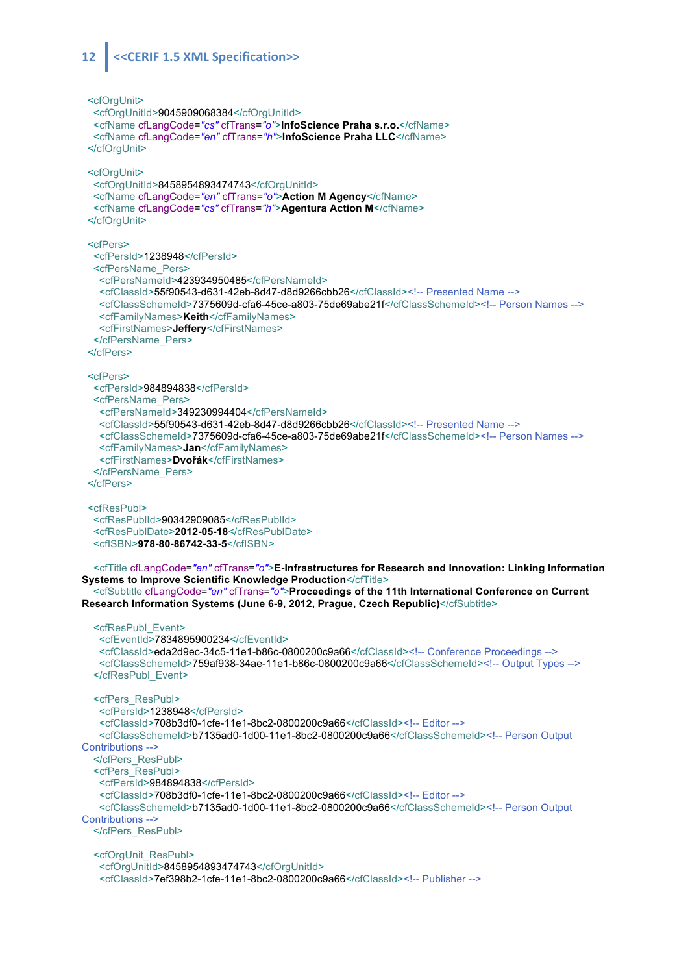#### 12 <<<ERIF 1.5 XML Specification>>

 <cfOrgUnit> <cfOrgUnitId>9045909068384</cfOrgUnitId> <cfName cfLangCode=*"cs"* cfTrans=*"o"*>**InfoScience Praha s.r.o.**</cfName> <cfName cfLangCode=*"en"* cfTrans=*"h"*>**InfoScience Praha LLC**</cfName> </cfOrgUnit> <cfOrgUnit> <cfOrgUnitId>8458954893474743</cfOrgUnitId> <cfName cfLangCode=*"en"* cfTrans=*"o"*>**Action M Agency**</cfName> <cfName cfLangCode=*"cs"* cfTrans=*"h"*>**Agentura Action M**</cfName> </cfOrgUnit> <cfPers> <cfPersId>1238948</cfPersId> <cfPersName\_Pers> <cfPersNameId>423934950485</cfPersNameId> <cfClassId>55f90543-d631-42eb-8d47-d8d9266cbb26</cfClassId><!-- Presented Name --> <cfClassSchemeId>7375609d-cfa6-45ce-a803-75de69abe21f</cfClassSchemeId><!-- Person Names --> <cfFamilyNames>**Keith**</cfFamilyNames> <cfFirstNames>**Jeffery**</cfFirstNames> </cfPersName\_Pers> </cfPers> <cfPers> <cfPersId>984894838</cfPersId> <cfPersName\_Pers> <cfPersNameId>349230994404</cfPersNameId> <cfClassId>55f90543-d631-42eb-8d47-d8d9266cbb26</cfClassId><!-- Presented Name --> <cfClassSchemeId>7375609d-cfa6-45ce-a803-75de69abe21f</cfClassSchemeId><!-- Person Names --> <cfFamilyNames>**Jan**</cfFamilyNames> <cfFirstNames>**Dvořák**</cfFirstNames> </cfPersName\_Pers> </cfPers> <cfResPubl> <cfResPublId>90342909085</cfResPublId> <cfResPublDate>**2012-05-18**</cfResPublDate> <cfISBN>**978-80-86742-33-5**</cfISBN> <cfTitle cfLangCode=*"en"* cfTrans=*"o"*>**E-Infrastructures for Research and Innovation: Linking Information Systems to Improve Scientific Knowledge Production</cfTitle>**  <cfSubtitle cfLangCode=*"en"* cfTrans=*"o"*>**Proceedings of the 11th International Conference on Current Research Information Systems (June 6-9, 2012, Prague, Czech Republic)**</cfSubtitle> <cfResPubl\_Event> <cfEventId>7834895900234</cfEventId> <cfClassId>eda2d9ec-34c5-11e1-b86c-0800200c9a66</cfClassId><!-- Conference Proceedings --> <cfClassSchemeId>759af938-34ae-11e1-b86c-0800200c9a66</cfClassSchemeId><!-- Output Types --> </cfResPubl\_Event> <cfPers\_ResPubl> <cfPersId>1238948</cfPersId> <cfClassId>708b3df0-1cfe-11e1-8bc2-0800200c9a66</cfClassId><!-- Editor --> <cfClassSchemeId>b7135ad0-1d00-11e1-8bc2-0800200c9a66</cfClassSchemeId><!-- Person Output Contributions --> </cfPers\_ResPubl> <cfPers\_ResPubl> <cfPersId>984894838</cfPersId> <cfClassId>708b3df0-1cfe-11e1-8bc2-0800200c9a66</cfClassId><!-- Editor --> <cfClassSchemeId>b7135ad0-1d00-11e1-8bc2-0800200c9a66</cfClassSchemeId><!-- Person Output Contributions --> </cfPers\_ResPubl> <cfOrgUnit\_ResPubl> <cfOrgUnitId>8458954893474743</cfOrgUnitId> <cfClassId>7ef398b2-1cfe-11e1-8bc2-0800200c9a66</cfClassId><!-- Publisher -->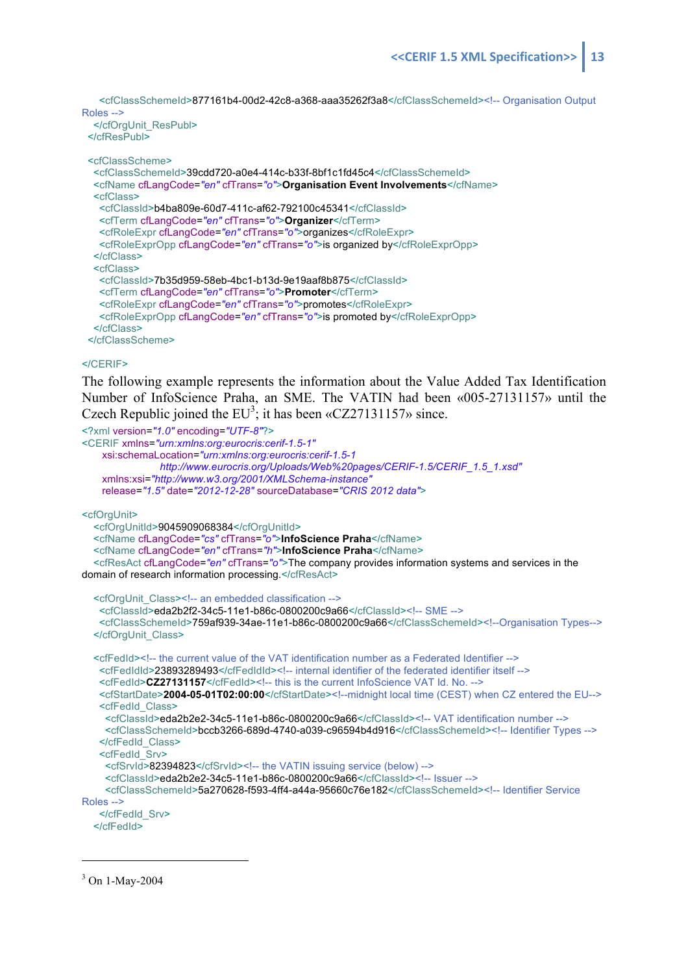<cfClassSchemeId>877161b4-00d2-42c8-a368-aaa35262f3a8</cfClassSchemeId><!-- Organisation Output Roles -->

 </cfOrgUnit\_ResPubl> </cfResPubl>

<cfClassScheme>

```
 <cfClassSchemeId>39cdd720-a0e4-414c-b33f-8bf1c1fd45c4</cfClassSchemeId>
  <cfName cfLangCode="en" cfTrans="o">Organisation Event Involvements</cfName>
  <cfClass>
   <cfClassId>b4ba809e-60d7-411c-af62-792100c45341</cfClassId>
   <cfTerm cfLangCode="en" cfTrans="o">Organizer</cfTerm>
   <cfRoleExpr cfLangCode="en" cfTrans="o">organizes</cfRoleExpr>
   <cfRoleExprOpp cfLangCode="en" cfTrans="o">is organized by</cfRoleExprOpp>
  </cfClass>
  <cfClass>
   <cfClassId>7b35d959-58eb-4bc1-b13d-9e19aaf8b875</cfClassId>
   <cfTerm cfLangCode="en" cfTrans="o">Promoter</cfTerm>
   <cfRoleExpr cfLangCode="en" cfTrans="o">promotes</cfRoleExpr>
   <cfRoleExprOpp cfLangCode="en" cfTrans="o">is promoted by</cfRoleExprOpp>
  </cfClass>
 </cfClassScheme>
```
#### </CERIF>

The following example represents the information about the Value Added Tax Identification Number of InfoScience Praha, an SME. The VATIN had been «005-27131157» until the Czech Republic joined the  $EU^3$ ; it has been «CZ27131157» since.

```
<?xml version="1.0" encoding="UTF-8"?>
<CERIF xmlns="urn:xmlns:org:eurocris:cerif-1.5-1"
    xsi:schemaLocation="urn:xmlns:org:eurocris:cerif-1.5-1
                http://www.eurocris.org/Uploads/Web%20pages/CERIF-1.5/CERIF_1.5_1.xsd"
    xmlns:xsi="http://www.w3.org/2001/XMLSchema-instance"
    release="1.5" date="2012-12-28" sourceDatabase="CRIS 2012 data">
<cfOrgUnit>
   <cfOrgUnitId>9045909068384</cfOrgUnitId>
   <cfName cfLangCode="cs" cfTrans="o">InfoScience Praha</cfName>
   <cfName cfLangCode="en" cfTrans="h">InfoScience Praha</cfName>
   <cfResAct cfLangCode="en" cfTrans="o">The company provides information systems and services in the 
domain of research information processing.</cfResAct>
   <cfOrgUnit_Class><!-- an embedded classification -->
    <cfClassId>eda2b2f2-34c5-11e1-b86c-0800200c9a66</cfClassId><!-- SME -->
    <cfClassSchemeId>759af939-34ae-11e1-b86c-0800200c9a66</cfClassSchemeId><!--Organisation Types-->
   </cfOrgUnit_Class>
   <cfFedId><!-- the current value of the VAT identification number as a Federated Identifier -->
   <cfFedIdId>23893289493</cfFedIdId><!-- internal identifier of the federated identifier itself -->
   <cfFedId>CZ27131157</cfFedId><!-- this is the current InfoScience VAT Id. No. -->
    <cfStartDate>2004-05-01T02:00:00</cfStartDate><!--midnight local time (CEST) when CZ entered the EU-->
    <cfFedId_Class>
     <cfClassId>eda2b2e2-34c5-11e1-b86c-0800200c9a66</cfClassId><!-- VAT identification number -->
     <cfClassSchemeId>bccb3266-689d-4740-a039-c96594b4d916</cfClassSchemeId><!-- Identifier Types -->
    </cfFedId_Class>
    <cfFedId_Srv>
    <cfSrvId>82394823</cfSrvId><!-- the VATIN issuing service (below) -->
     <cfClassId>eda2b2e2-34c5-11e1-b86c-0800200c9a66</cfClassId><!-- Issuer -->
     <cfClassSchemeId>5a270628-f593-4ff4-a44a-95660c76e182</cfClassSchemeId><!-- Identifier Service 
Roles -->
    </cfFedId_Srv>
   </cfFedId>
```

```
3 On 1-May-2004
```
 $\overline{a}$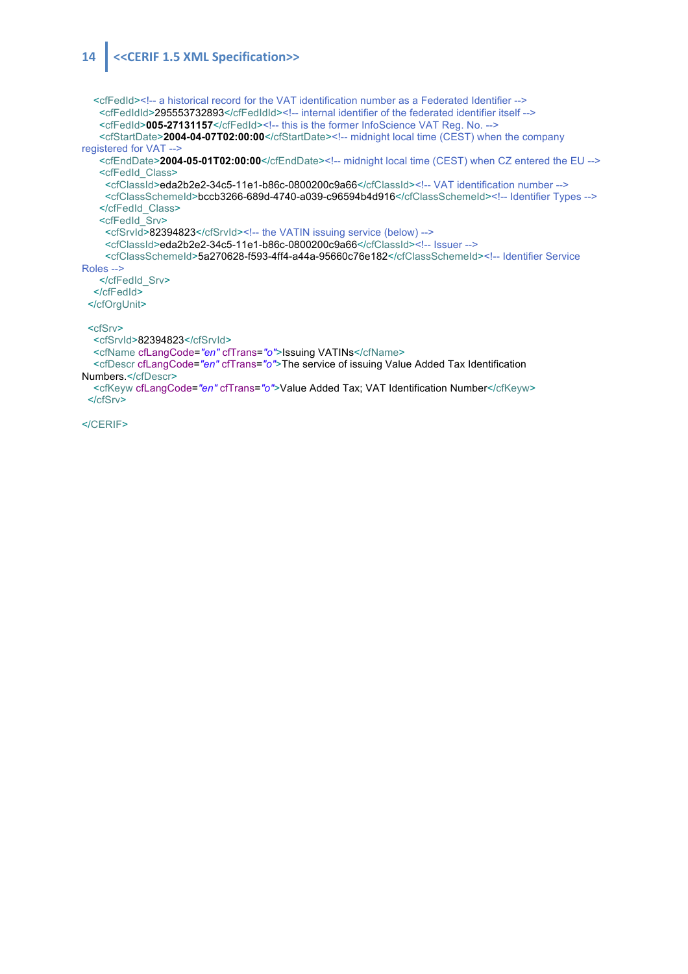#### 14 << CERIF 1.5 XML Specification>>

 <cfFedId><!-- a historical record for the VAT identification number as a Federated Identifier --> <cfFedIdId>295553732893</cfFedIdId><!-- internal identifier of the federated identifier itself --> <cfFedId>005-27131157</cfFedId><!-- this is the former InfoScience VAT Reg. No. --> <cfStartDate>**2004-04-07T02:00:00**</cfStartDate><!-- midnight local time (CEST) when the company registered for VAT --> <cfEndDate>2004-05-01T02:00:00</cfEndDate><!-- midnight local time (CEST) when CZ entered the EU --> <cfFedId\_Class> <cfClassId>eda2b2e2-34c5-11e1-b86c-0800200c9a66</cfClassId><!-- VAT identification number --> <cfClassSchemeId>bccb3266-689d-4740-a039-c96594b4d916</cfClassSchemeId><!-- Identifier Types --> </cfFedId\_Class> <cfFedId\_Srv> <cfSrvId>82394823</cfSrvId><!-- the VATIN issuing service (below) --> <cfClassId>eda2b2e2-34c5-11e1-b86c-0800200c9a66</cfClassId><!-- Issuer --> <cfClassSchemeId>5a270628-f593-4ff4-a44a-95660c76e182</cfClassSchemeId><!-- Identifier Service Roles --> </cfFedId\_Srv> </cfFedId> </cfOrgUnit> <cfSrv> <cfSrvId>82394823</cfSrvId> <cfName cfLangCode=*"en"* cfTrans=*"o"*>Issuing VATINs</cfName> <cfDescr cfLangCode=*"en"* cfTrans=*"o"*>The service of issuing Value Added Tax Identification Numbers.</cfDescr> <cfKeyw cfLangCode=*"en"* cfTrans=*"o"*>Value Added Tax; VAT Identification Number</cfKeyw> </cfSrv>

</CERIF>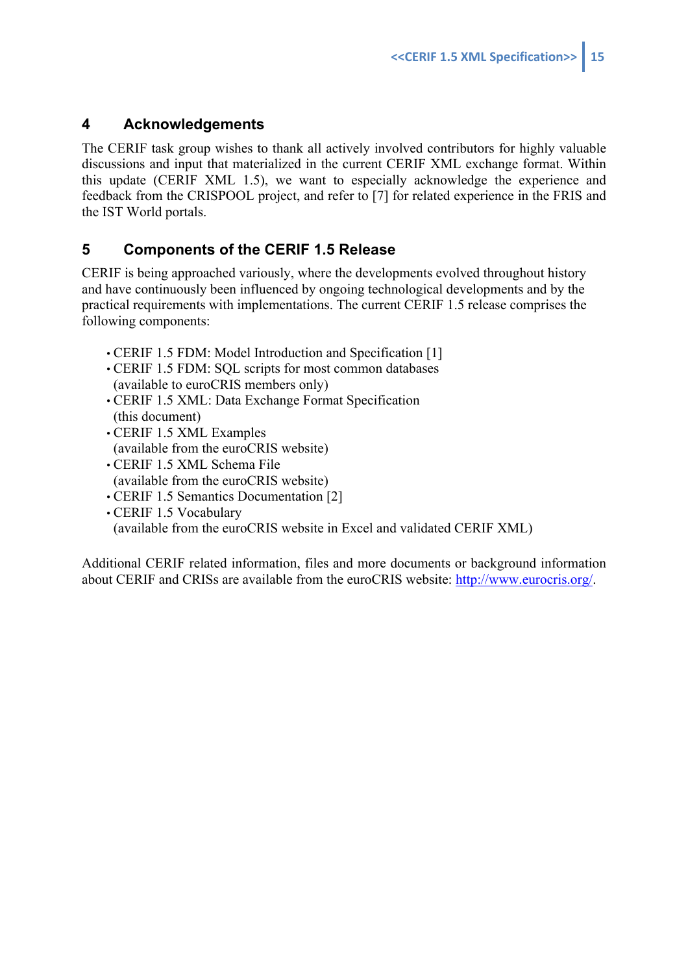## **4 Acknowledgements**

The CERIF task group wishes to thank all actively involved contributors for highly valuable discussions and input that materialized in the current CERIF XML exchange format. Within this update (CERIF XML 1.5), we want to especially acknowledge the experience and feedback from the CRISPOOL project, and refer to [7] for related experience in the FRIS and the IST World portals.

## **5 Components of the CERIF 1.5 Release**

CERIF is being approached variously, where the developments evolved throughout history and have continuously been influenced by ongoing technological developments and by the practical requirements with implementations. The current CERIF 1.5 release comprises the following components:

- CERIF 1.5 FDM: Model Introduction and Specification [1]
- CERIF 1.5 FDM: SQL scripts for most common databases (available to euroCRIS members only)
- CERIF 1.5 XML: Data Exchange Format Specification (this document)
- CERIF 1.5 XML Examples (available from the euroCRIS website)
- CERIF 1.5 XML Schema File (available from the euroCRIS website)
- CERIF 1.5 Semantics Documentation [2]
- CERIF 1.5 Vocabulary (available from the euroCRIS website in Excel and validated CERIF XML)

Additional CERIF related information, files and more documents or background information about CERIF and CRISs are available from the euroCRIS website: http://www.eurocris.org/.